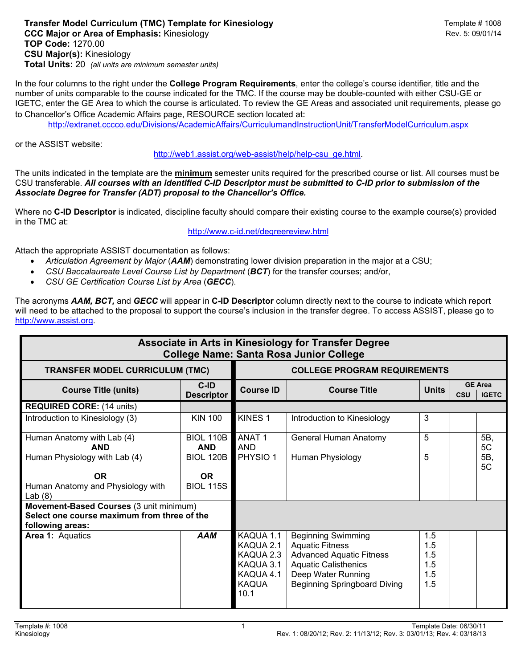## **Transfer Model Curriculum (TMC) Template for Kinesiology Transfer Model Curriculum (TMC) Template # 1008 CCC Major or Area of Emphasis:** Kinesiology Rev. 5: 09/01/14 **TOP Code:** 1270.00 **CSU Major(s):** Kinesiology **Total Units:** 20 *(all units are minimum semester units)*

In the four columns to the right under the **College Program Requirements**, enter the college's course identifier, title and the number of units comparable to the course indicated for the TMC. If the course may be double-counted with either CSU-GE or IGETC, enter the GE Area to which the course is articulated. To review the GE Areas and associated unit requirements, please go to Chancellor's Office Academic Affairs page, RESOURCE section located at:

http://extranet.cccco.edu/Divisions/AcademicAffairs/CurriculumandInstructionUnit/TransferModelCurriculum.aspx

or the ASSIST website:

http://web1.assist.org/web-assist/help/help-csu\_ge.html.

The units indicated in the template are the **minimum** semester units required for the prescribed course or list. All courses must be CSU transferable. *All courses with an identified C-ID Descriptor must be submitted to C-ID prior to submission of the Associate Degree for Transfer (ADT) proposal to the Chancellor's Office.*

Where no **C-ID Descriptor** is indicated, discipline faculty should compare their existing course to the example course(s) provided in the TMC at:

## http://www.c-id.net/degreereview.html

Attach the appropriate ASSIST documentation as follows:

- *Articulation Agreement by Major* (*AAM*) demonstrating lower division preparation in the major at a CSU;
- *CSU Baccalaureate Level Course List by Department* (*BCT*) for the transfer courses; and/or,
- *CSU GE Certification Course List by Area* (*GECC*).

The acronyms *AAM, BCT,* and *GECC* will appear in **C-ID Descriptor** column directly next to the course to indicate which report will need to be attached to the proposal to support the course's inclusion in the transfer degree. To access ASSIST, please go to http://www.assist.org.

| Associate in Arts in Kinesiology for Transfer Degree<br><b>College Name: Santa Rosa Junior College</b>                                   |                                                                                     |                                                                                       |                                                                                                                                                                             |                                        |            |                                |
|------------------------------------------------------------------------------------------------------------------------------------------|-------------------------------------------------------------------------------------|---------------------------------------------------------------------------------------|-----------------------------------------------------------------------------------------------------------------------------------------------------------------------------|----------------------------------------|------------|--------------------------------|
| <b>TRANSFER MODEL CURRICULUM (TMC)</b>                                                                                                   |                                                                                     | <b>COLLEGE PROGRAM REQUIREMENTS</b>                                                   |                                                                                                                                                                             |                                        |            |                                |
| <b>Course Title (units)</b>                                                                                                              | C-ID<br><b>Descriptor</b>                                                           | <b>Course ID</b>                                                                      | <b>Course Title</b>                                                                                                                                                         | <b>Units</b>                           | <b>CSU</b> | <b>GE Area</b><br><b>IGETC</b> |
| <b>REQUIRED CORE: (14 units)</b>                                                                                                         |                                                                                     |                                                                                       |                                                                                                                                                                             |                                        |            |                                |
| Introduction to Kinesiology (3)                                                                                                          | <b>KIN 100</b>                                                                      | KINES <sub>1</sub>                                                                    | Introduction to Kinesiology                                                                                                                                                 | 3                                      |            |                                |
| Human Anatomy with Lab (4)<br><b>AND</b><br>Human Physiology with Lab (4)<br><b>OR</b><br>Human Anatomy and Physiology with<br>Lab $(8)$ | <b>BIOL 110B</b><br><b>AND</b><br><b>BIOL 120B</b><br><b>OR</b><br><b>BIOL 115S</b> | <b>ANAT1</b><br><b>AND</b><br>PHYSIO <sub>1</sub>                                     | General Human Anatomy<br>Human Physiology                                                                                                                                   | 5<br>5                                 |            | 5B,<br>5C<br>5B,<br>5C         |
| Movement-Based Courses (3 unit minimum)<br>Select one course maximum from three of the<br>following areas:                               |                                                                                     |                                                                                       |                                                                                                                                                                             |                                        |            |                                |
| Area 1: Aquatics                                                                                                                         | <b>AAM</b>                                                                          | KAQUA 1.1<br>KAQUA 2.1<br>KAQUA 2.3<br>KAQUA 3.1<br>KAQUA 4.1<br><b>KAQUA</b><br>10.1 | <b>Beginning Swimming</b><br><b>Aquatic Fitness</b><br><b>Advanced Aquatic Fitness</b><br><b>Aquatic Calisthenics</b><br>Deep Water Running<br>Beginning Springboard Diving | 1.5<br>1.5<br>1.5<br>1.5<br>1.5<br>1.5 |            |                                |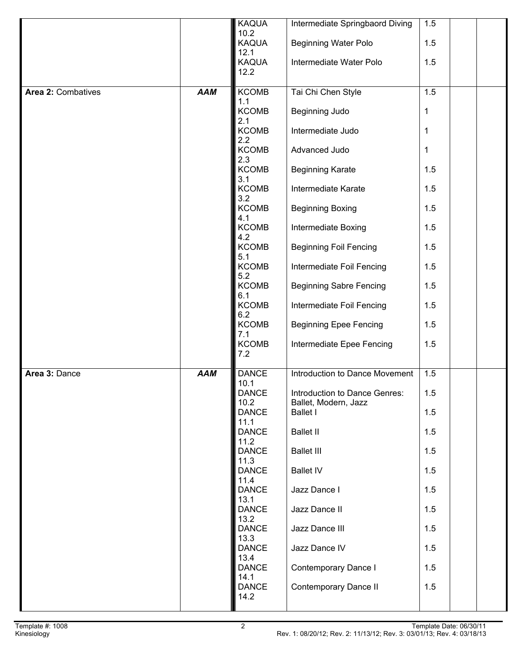|                    |            | KAQUA                      | Intermediate Springbaord Diving                       | 1.5 |  |
|--------------------|------------|----------------------------|-------------------------------------------------------|-----|--|
|                    |            | 10.2<br>KAQUA<br>12.1      | <b>Beginning Water Polo</b>                           | 1.5 |  |
|                    |            | KAQUA<br>12.2              | Intermediate Water Polo                               | 1.5 |  |
| Area 2: Combatives | <b>AAM</b> | <b>KCOMB</b>               | Tai Chi Chen Style                                    | 1.5 |  |
|                    |            | 1.1<br><b>KCOMB</b><br>2.1 | Beginning Judo                                        | 1   |  |
|                    |            | <b>KCOMB</b><br>2.2        | Intermediate Judo                                     | 1   |  |
|                    |            | <b>KCOMB</b><br>2.3        | Advanced Judo                                         | 1   |  |
|                    |            | <b>KCOMB</b><br>3.1        | <b>Beginning Karate</b>                               | 1.5 |  |
|                    |            | <b>KCOMB</b><br>3.2        | Intermediate Karate                                   | 1.5 |  |
|                    |            | <b>KCOMB</b><br>4.1        | <b>Beginning Boxing</b>                               | 1.5 |  |
|                    |            | <b>KCOMB</b><br>4.2        | Intermediate Boxing                                   | 1.5 |  |
|                    |            | <b>KCOMB</b><br>5.1        | <b>Beginning Foil Fencing</b>                         | 1.5 |  |
|                    |            | <b>KCOMB</b><br>5.2        | Intermediate Foil Fencing                             | 1.5 |  |
|                    |            | KCOMB<br>6.1               | <b>Beginning Sabre Fencing</b>                        | 1.5 |  |
|                    |            | <b>KCOMB</b><br>6.2        | Intermediate Foil Fencing                             | 1.5 |  |
|                    |            | <b>KCOMB</b><br>7.1        | <b>Beginning Epee Fencing</b>                         | 1.5 |  |
|                    |            | <b>KCOMB</b><br>7.2        | Intermediate Epee Fencing                             | 1.5 |  |
| Area 3: Dance      | <b>AAM</b> | <b>DANCE</b><br>10.1       | Introduction to Dance Movement                        | 1.5 |  |
|                    |            | <b>DANCE</b><br>10.2       | Introduction to Dance Genres:<br>Ballet, Modern, Jazz | 1.5 |  |
|                    |            | <b>DANCE</b><br>11.1       | <b>Ballet I</b>                                       | 1.5 |  |
|                    |            | <b>DANCE</b><br>11.2       | <b>Ballet II</b>                                      | 1.5 |  |
|                    |            | <b>DANCE</b><br>11.3       | <b>Ballet III</b>                                     | 1.5 |  |
|                    |            | <b>DANCE</b><br>11.4       | <b>Ballet IV</b>                                      | 1.5 |  |
|                    |            | <b>DANCE</b><br>13.1       | Jazz Dance I                                          | 1.5 |  |
|                    |            | <b>DANCE</b><br>13.2       | Jazz Dance II                                         | 1.5 |  |
|                    |            | DANCE<br>13.3              | Jazz Dance III                                        | 1.5 |  |
|                    |            | <b>DANCE</b><br>13.4       | Jazz Dance IV                                         | 1.5 |  |
|                    |            | <b>DANCE</b><br>14.1       | Contemporary Dance I                                  | 1.5 |  |
|                    |            | <b>DANCE</b><br>14.2       | Contemporary Dance II                                 | 1.5 |  |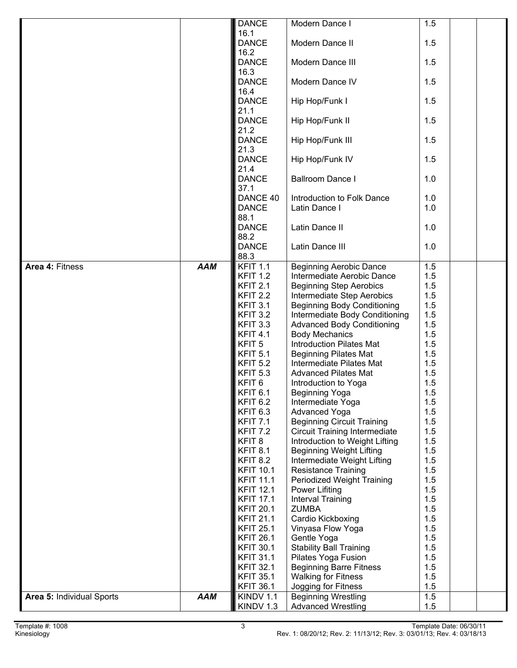|                           |            | <b>DANCE</b>                | Modern Dance I                                                    | 1.5        |
|---------------------------|------------|-----------------------------|-------------------------------------------------------------------|------------|
|                           |            | 16.1                        |                                                                   |            |
|                           |            | <b>DANCE</b>                | Modern Dance II                                                   | 1.5        |
|                           |            | 16.2                        |                                                                   |            |
|                           |            | <b>DANCE</b>                | Modern Dance III                                                  | 1.5        |
|                           |            | 16.3                        |                                                                   |            |
|                           |            | <b>DANCE</b>                | Modern Dance IV                                                   | 1.5        |
|                           |            | 16.4<br><b>DANCE</b>        | Hip Hop/Funk I                                                    | 1.5        |
|                           |            | 21.1                        |                                                                   |            |
|                           |            | <b>DANCE</b>                | Hip Hop/Funk II                                                   | 1.5        |
|                           |            | 21.2                        |                                                                   |            |
|                           |            | <b>DANCE</b>                | Hip Hop/Funk III                                                  | 1.5        |
|                           |            | 21.3                        |                                                                   |            |
|                           |            | <b>DANCE</b>                | Hip Hop/Funk IV                                                   | 1.5        |
|                           |            | 21.4                        |                                                                   |            |
|                           |            | <b>DANCE</b>                | <b>Ballroom Dance I</b>                                           | 1.0        |
|                           |            | 37.1                        |                                                                   |            |
|                           |            | DANCE 40                    | Introduction to Folk Dance                                        | 1.0        |
|                           |            | <b>DANCE</b>                | Latin Dance I                                                     | 1.0        |
|                           |            | 88.1                        |                                                                   |            |
|                           |            | <b>DANCE</b>                | Latin Dance II                                                    | 1.0        |
|                           |            | 88.2                        |                                                                   |            |
|                           |            | <b>DANCE</b>                | Latin Dance III                                                   | 1.0        |
| Area 4: Fitness           | <b>AAM</b> | 88.3<br><b>KFIT 1.1</b>     |                                                                   |            |
|                           |            | <b>KFIT 1.2</b>             | <b>Beginning Aerobic Dance</b><br>Intermediate Aerobic Dance      | 1.5<br>1.5 |
|                           |            | <b>KFIT 2.1</b>             | <b>Beginning Step Aerobics</b>                                    | 1.5        |
|                           |            | <b>KFIT 2.2</b>             | Intermediate Step Aerobics                                        | 1.5        |
|                           |            | <b>KFIT 3.1</b>             | <b>Beginning Body Conditioning</b>                                | 1.5        |
|                           |            | <b>KFIT 3.2</b>             | Intermediate Body Conditioning                                    | 1.5        |
|                           |            | <b>KFIT 3.3</b>             | <b>Advanced Body Conditioning</b>                                 | 1.5        |
|                           |            | <b>KFIT 4.1</b>             | <b>Body Mechanics</b>                                             | 1.5        |
|                           |            | KFIT <sub>5</sub>           | <b>Introduction Pilates Mat</b>                                   | 1.5        |
|                           |            | <b>KFIT 5.1</b>             | <b>Beginning Pilates Mat</b>                                      | 1.5        |
|                           |            | <b>KFIT 5.2</b>             | Intermediate Pilates Mat                                          | 1.5        |
|                           |            | <b>KFIT 5.3</b>             | <b>Advanced Pilates Mat</b>                                       | 1.5        |
|                           |            | KFIT <sub>6</sub>           | Introduction to Yoga                                              | 1.5        |
|                           |            | KFIT <sub>6.1</sub>         | Beginning Yoga                                                    | 1.5        |
|                           |            | KFIT <sub>6.2</sub>         | Intermediate Yoga                                                 | 1.5        |
|                           |            | KFIT <sub>6.3</sub>         | <b>Advanced Yoga</b>                                              | 1.5        |
|                           |            | <b>KFIT 7.1</b>             | <b>Beginning Circuit Training</b>                                 | 1.5        |
|                           |            | KFIT 7.2                    | <b>Circuit Training Intermediate</b>                              | 1.5        |
|                           |            | KFIT <sub>8</sub>           | Introduction to Weight Lifting<br><b>Beginning Weight Lifting</b> | 1.5        |
|                           |            | <b>KFIT 8.1</b><br>KFIT 8.2 | Intermediate Weight Lifting                                       | 1.5<br>1.5 |
|                           |            | <b>KFIT 10.1</b>            | <b>Resistance Training</b>                                        | 1.5        |
|                           |            | <b>KFIT 11.1</b>            | Periodized Weight Training                                        | 1.5        |
|                           |            | <b>KFIT 12.1</b>            | <b>Power Lifiting</b>                                             | 1.5        |
|                           |            | <b>KFIT 17.1</b>            | Interval Training                                                 | 1.5        |
|                           |            | <b>KFIT 20.1</b>            | <b>ZUMBA</b>                                                      | 1.5        |
|                           |            | <b>KFIT 21.1</b>            | Cardio Kickboxing                                                 | 1.5        |
|                           |            | <b>KFIT 25.1</b>            | Vinyasa Flow Yoga                                                 | 1.5        |
|                           |            | <b>KFIT 26.1</b>            | Gentle Yoga                                                       | 1.5        |
|                           |            | <b>KFIT 30.1</b>            | <b>Stability Ball Training</b>                                    | 1.5        |
|                           |            | <b>KFIT 31.1</b>            | Pilates Yoga Fusion                                               | 1.5        |
|                           |            | <b>KFIT 32.1</b>            | <b>Beginning Barre Fitness</b>                                    | 1.5        |
|                           |            | <b>KFIT 35.1</b>            | <b>Walking for Fitness</b>                                        | 1.5        |
|                           |            | <b>KFIT 36.1</b>            | Jogging for Fitness                                               | 1.5        |
| Area 5: Individual Sports | <b>AAM</b> | KINDV 1.1                   | <b>Beginning Wrestling</b>                                        | 1.5        |
|                           |            | KINDV 1.3                   | <b>Advanced Wrestling</b>                                         | 1.5        |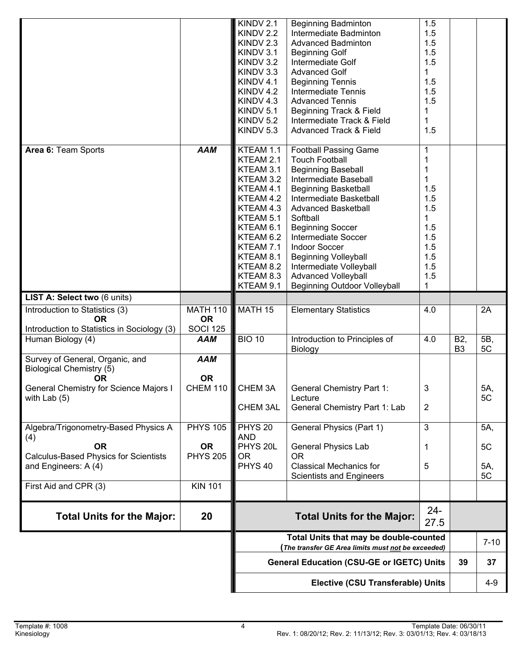|                                               |                 | KINDV 2.1                                         | <b>Beginning Badminton</b>               | 1.5            |                                    |           |
|-----------------------------------------------|-----------------|---------------------------------------------------|------------------------------------------|----------------|------------------------------------|-----------|
|                                               |                 | KINDV 2.2                                         | Intermediate Badminton                   | 1.5            |                                    |           |
|                                               |                 | KINDV 2.3                                         | <b>Advanced Badminton</b>                | 1.5            |                                    |           |
|                                               |                 | KINDV 3.1                                         | <b>Beginning Golf</b>                    | 1.5            |                                    |           |
|                                               |                 | KINDV 3.2                                         | Intermediate Golf                        | 1.5            |                                    |           |
|                                               |                 | KINDV 3.3                                         | <b>Advanced Golf</b>                     | 1              |                                    |           |
|                                               |                 | KINDV 4.1                                         | <b>Beginning Tennis</b>                  | 1.5            |                                    |           |
|                                               |                 | KINDV 4.2                                         | Intermediate Tennis                      | 1.5            |                                    |           |
|                                               |                 | KINDV 4.3                                         | <b>Advanced Tennis</b>                   | 1.5            |                                    |           |
|                                               |                 | KINDV 5.1                                         | Beginning Track & Field                  |                |                                    |           |
|                                               |                 | KINDV 5.2                                         | Intermediate Track & Field               |                |                                    |           |
|                                               |                 | KINDV 5.3                                         | <b>Advanced Track &amp; Field</b>        | 1.5            |                                    |           |
|                                               |                 |                                                   |                                          |                |                                    |           |
| Area 6: Team Sports                           | <b>AAM</b>      | KTEAM 1.1                                         | <b>Football Passing Game</b>             | 1              |                                    |           |
|                                               |                 | KTEAM 2.1                                         | <b>Touch Football</b>                    | $\mathbf 1$    |                                    |           |
|                                               |                 | KTEAM 3.1                                         | <b>Beginning Baseball</b>                | 1              |                                    |           |
|                                               |                 | KTEAM 3.2                                         | Intermediate Baseball                    |                |                                    |           |
|                                               |                 | KTEAM 4.1                                         | <b>Beginning Basketball</b>              | 1.5            |                                    |           |
|                                               |                 | KTEAM 4.2                                         | Intermediate Basketball                  | 1.5            |                                    |           |
|                                               |                 | KTEAM 4.3                                         | <b>Advanced Basketball</b>               | 1.5            |                                    |           |
|                                               |                 | KTEAM 5.1                                         | Softball                                 | 1              |                                    |           |
|                                               |                 | KTEAM 6.1                                         | <b>Beginning Soccer</b>                  | 1.5            |                                    |           |
|                                               |                 | KTEAM 6.2                                         | Intermediate Soccer                      | 1.5            |                                    |           |
|                                               |                 | KTEAM 7.1                                         | <b>Indoor Soccer</b>                     | 1.5            |                                    |           |
|                                               |                 | KTEAM 8.1                                         |                                          | 1.5            |                                    |           |
|                                               |                 |                                                   | <b>Beginning Volleyball</b>              | 1.5            |                                    |           |
|                                               |                 | KTEAM 8.2                                         | Intermediate Volleyball                  |                |                                    |           |
|                                               |                 | KTEAM 8.3                                         | Advanced Volleyball                      | 1.5            |                                    |           |
|                                               |                 | KTEAM 9.1                                         | <b>Beginning Outdoor Volleyball</b>      | 1              |                                    |           |
| LIST A: Select two (6 units)                  |                 |                                                   |                                          |                |                                    |           |
| Introduction to Statistics (3)                | <b>MATH 110</b> | MATH 15                                           | <b>Elementary Statistics</b>             | 4.0            |                                    | 2A        |
| <b>OR</b>                                     | <b>OR</b>       |                                                   |                                          |                |                                    |           |
| Introduction to Statistics in Sociology (3)   | <b>SOCI 125</b> |                                                   |                                          |                |                                    |           |
| Human Biology (4)                             | <b>AAM</b>      | <b>BIO 10</b>                                     | Introduction to Principles of<br>Biology | 4.0            | B <sub>2</sub> ,<br>B <sub>3</sub> | 5B,<br>5C |
| Survey of General, Organic, and               | <b>AAM</b>      |                                                   |                                          |                |                                    |           |
| <b>Biological Chemistry (5)</b>               |                 |                                                   |                                          |                |                                    |           |
| 0R                                            | <b>OR</b>       |                                                   |                                          |                |                                    |           |
| <b>General Chemistry for Science Majors I</b> | <b>CHEM 110</b> | CHEM 3A                                           | <b>General Chemistry Part 1:</b>         | 3              |                                    | 5A,       |
| with Lab $(5)$                                |                 |                                                   | Lecture                                  |                |                                    | 5C        |
|                                               |                 | <b>CHEM 3AL</b>                                   | General Chemistry Part 1: Lab            | $\overline{2}$ |                                    |           |
|                                               |                 |                                                   |                                          |                |                                    |           |
| Algebra/Trigonometry-Based Physics A          | <b>PHYS 105</b> | PHYS <sub>20</sub>                                | General Physics (Part 1)                 | 3              |                                    | 5A,       |
| (4)                                           |                 | <b>AND</b>                                        |                                          |                |                                    |           |
| <b>OR</b>                                     | <b>OR</b>       | PHYS <sub>20L</sub>                               | <b>General Physics Lab</b>               | 1              |                                    | 5C        |
| <b>Calculus-Based Physics for Scientists</b>  | <b>PHYS 205</b> | <b>OR</b>                                         | <b>OR</b>                                |                |                                    |           |
| and Engineers: A (4)                          |                 | PHYS <sub>40</sub>                                | <b>Classical Mechanics for</b>           | 5              |                                    | 5A,       |
|                                               |                 |                                                   | <b>Scientists and Engineers</b>          |                |                                    | 5C        |
| First Aid and CPR (3)                         | <b>KIN 101</b>  |                                                   |                                          |                |                                    |           |
|                                               |                 |                                                   |                                          |                |                                    |           |
|                                               |                 |                                                   |                                          | $24 -$         |                                    |           |
| <b>Total Units for the Major:</b>             | 20              |                                                   | <b>Total Units for the Major:</b>        | 27.5           |                                    |           |
|                                               |                 |                                                   | Total Units that may be double-counted   |                |                                    |           |
|                                               |                 | The transfer GE Area limits must not be exceeded) |                                          |                |                                    | $7 - 10$  |
|                                               |                 | <b>General Education (CSU-GE or IGETC) Units</b>  |                                          |                | 39                                 | 37        |
|                                               |                 | Elective (CSU Transferable) Units                 |                                          |                |                                    | $4 - 9$   |
|                                               |                 |                                                   |                                          |                |                                    |           |